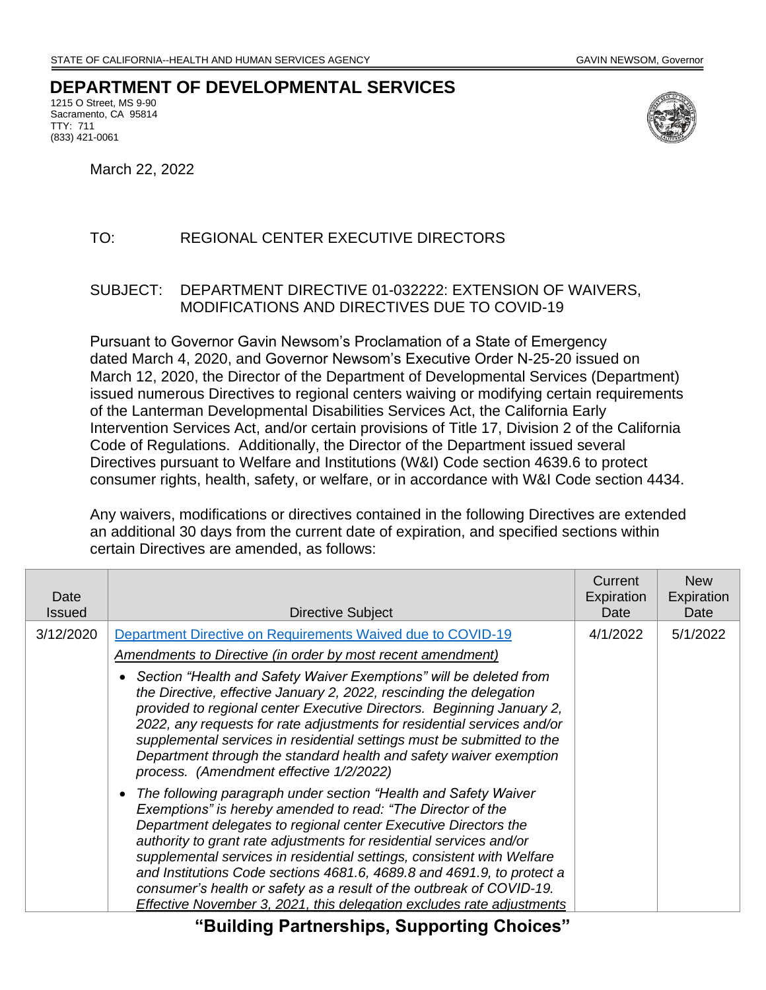## **DEPARTMENT OF DEVELOPMENTAL SERVICES**

1215 O Street, MS 9-90 Sacramento, CA 95814 TTY: 711 (833) 421-0061



March 22, 2022

## TO: REGIONAL CENTER EXECUTIVE DIRECTORS

## SUBJECT: DEPARTMENT DIRECTIVE 01-032222: EXTENSION OF WAIVERS, MODIFICATIONS AND DIRECTIVES DUE TO COVID-19

Pursuant to Governor Gavin Newsom's Proclamation of a State of Emergency dated March 4, 2020, and Governor Newsom's Executive Order N-25-20 issued on March 12, 2020, the Director of the Department of Developmental Services (Department) issued numerous Directives to regional centers waiving or modifying certain requirements of the Lanterman Developmental Disabilities Services Act, the California Early Intervention Services Act, and/or certain provisions of Title 17, Division 2 of the California Code of Regulations. Additionally, the Director of the Department issued several Directives pursuant to Welfare and Institutions (W&I) Code section 4639.6 to protect consumer rights, health, safety, or welfare, or in accordance with W&I Code section 4434.

Any waivers, modifications or directives contained in the following Directives are extended an additional 30 days from the current date of expiration, and specified sections within certain Directives are amended, as follows:

| Date<br><b>Issued</b> | Directive Subject                                                                                                                                                                                                                                                                                                                                                                                                                                                                                                                                                              | Current<br>Expiration<br>Date | <b>New</b><br>Expiration<br>Date |
|-----------------------|--------------------------------------------------------------------------------------------------------------------------------------------------------------------------------------------------------------------------------------------------------------------------------------------------------------------------------------------------------------------------------------------------------------------------------------------------------------------------------------------------------------------------------------------------------------------------------|-------------------------------|----------------------------------|
| 3/12/2020             | Department Directive on Requirements Waived due to COVID-19                                                                                                                                                                                                                                                                                                                                                                                                                                                                                                                    | 4/1/2022                      | 5/1/2022                         |
|                       | <u>Amendments to Directive (in order by most recent amendment)</u>                                                                                                                                                                                                                                                                                                                                                                                                                                                                                                             |                               |                                  |
|                       | Section "Health and Safety Waiver Exemptions" will be deleted from<br>the Directive, effective January 2, 2022, rescinding the delegation<br>provided to regional center Executive Directors. Beginning January 2,<br>2022, any requests for rate adjustments for residential services and/or<br>supplemental services in residential settings must be submitted to the<br>Department through the standard health and safety waiver exemption<br>process. (Amendment effective 1/2/2022)                                                                                       |                               |                                  |
|                       | The following paragraph under section "Health and Safety Waiver"<br>Exemptions" is hereby amended to read: "The Director of the<br>Department delegates to regional center Executive Directors the<br>authority to grant rate adjustments for residential services and/or<br>supplemental services in residential settings, consistent with Welfare<br>and Institutions Code sections 4681.6, 4689.8 and 4691.9, to protect a<br>consumer's health or safety as a result of the outbreak of COVID-19.<br>Effective November 3, 2021, this delegation excludes rate adjustments |                               |                                  |

**"Building Partnerships, Supporting Choices"**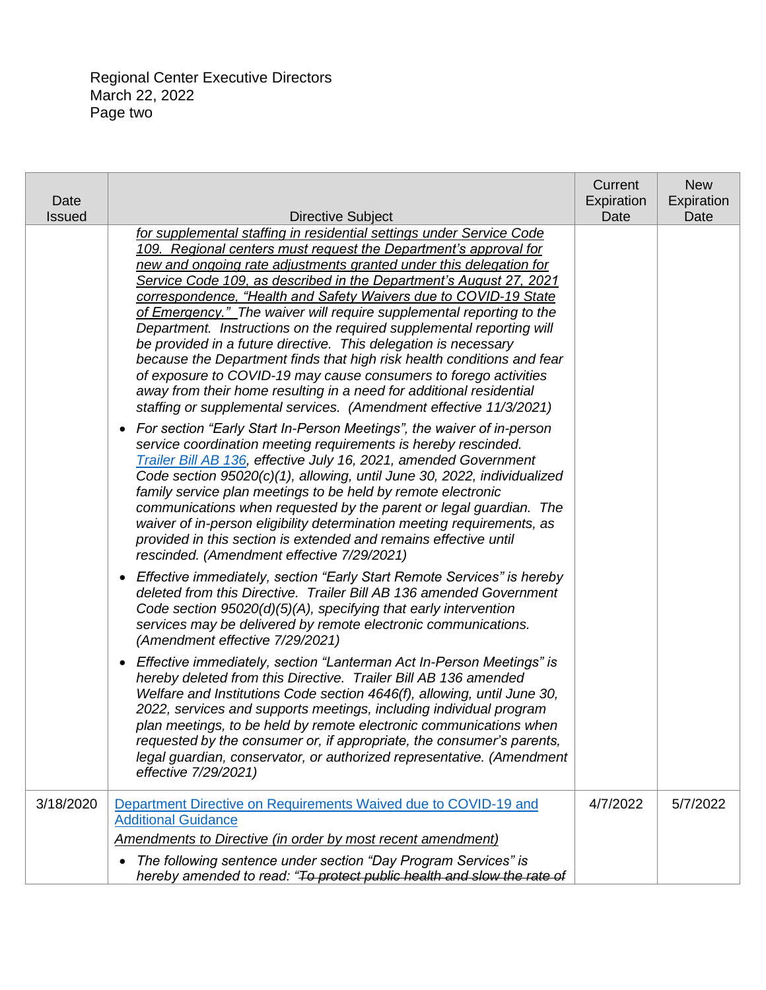Regional Center Executive Directors March 22, 2022 Page two

| Date          |                                                                                                                                             | Current<br>Expiration | <b>New</b><br>Expiration |
|---------------|---------------------------------------------------------------------------------------------------------------------------------------------|-----------------------|--------------------------|
| <b>Issued</b> | <b>Directive Subject</b>                                                                                                                    | Date                  | Date                     |
|               | for supplemental staffing in residential settings under Service Code                                                                        |                       |                          |
|               | 109. Regional centers must request the Department's approval for<br>new and ongoing rate adjustments granted under this delegation for      |                       |                          |
|               | Service Code 109, as described in the Department's August 27, 2021                                                                          |                       |                          |
|               | correspondence, "Health and Safety Waivers due to COVID-19 State                                                                            |                       |                          |
|               | of Emergency." The waiver will require supplemental reporting to the                                                                        |                       |                          |
|               | Department. Instructions on the required supplemental reporting will                                                                        |                       |                          |
|               | be provided in a future directive. This delegation is necessary                                                                             |                       |                          |
|               | because the Department finds that high risk health conditions and fear                                                                      |                       |                          |
|               | of exposure to COVID-19 may cause consumers to forego activities                                                                            |                       |                          |
|               | away from their home resulting in a need for additional residential                                                                         |                       |                          |
|               | staffing or supplemental services. (Amendment effective 11/3/2021)                                                                          |                       |                          |
|               | For section "Early Start In-Person Meetings", the waiver of in-person<br>$\bullet$                                                          |                       |                          |
|               | service coordination meeting requirements is hereby rescinded.                                                                              |                       |                          |
|               | Trailer Bill AB 136, effective July 16, 2021, amended Government<br>Code section 95020(c)(1), allowing, until June 30, 2022, individualized |                       |                          |
|               | family service plan meetings to be held by remote electronic                                                                                |                       |                          |
|               | communications when requested by the parent or legal guardian. The                                                                          |                       |                          |
|               | waiver of in-person eligibility determination meeting requirements, as                                                                      |                       |                          |
|               | provided in this section is extended and remains effective until                                                                            |                       |                          |
|               | rescinded. (Amendment effective 7/29/2021)                                                                                                  |                       |                          |
|               | Effective immediately, section "Early Start Remote Services" is hereby<br>$\bullet$                                                         |                       |                          |
|               | deleted from this Directive. Trailer Bill AB 136 amended Government                                                                         |                       |                          |
|               | Code section $95020(d)(5)(A)$ , specifying that early intervention                                                                          |                       |                          |
|               | services may be delivered by remote electronic communications.                                                                              |                       |                          |
|               | (Amendment effective 7/29/2021)                                                                                                             |                       |                          |
|               | Effective immediately, section "Lanterman Act In-Person Meetings" is<br>$\bullet$                                                           |                       |                          |
|               | hereby deleted from this Directive. Trailer Bill AB 136 amended<br>Welfare and Institutions Code section 4646(f), allowing, until June 30,  |                       |                          |
|               | 2022, services and supports meetings, including individual program                                                                          |                       |                          |
|               | plan meetings, to be held by remote electronic communications when                                                                          |                       |                          |
|               | requested by the consumer or, if appropriate, the consumer's parents,                                                                       |                       |                          |
|               | legal guardian, conservator, or authorized representative. (Amendment                                                                       |                       |                          |
|               | effective 7/29/2021)                                                                                                                        |                       |                          |
| 3/18/2020     | Department Directive on Requirements Waived due to COVID-19 and                                                                             | 4/7/2022              | 5/7/2022                 |
|               | <b>Additional Guidance</b>                                                                                                                  |                       |                          |
|               | Amendments to Directive (in order by most recent amendment)                                                                                 |                       |                          |
|               | The following sentence under section "Day Program Services" is<br>٠                                                                         |                       |                          |
|               | hereby amended to read: "To protect public health and slow the rate of                                                                      |                       |                          |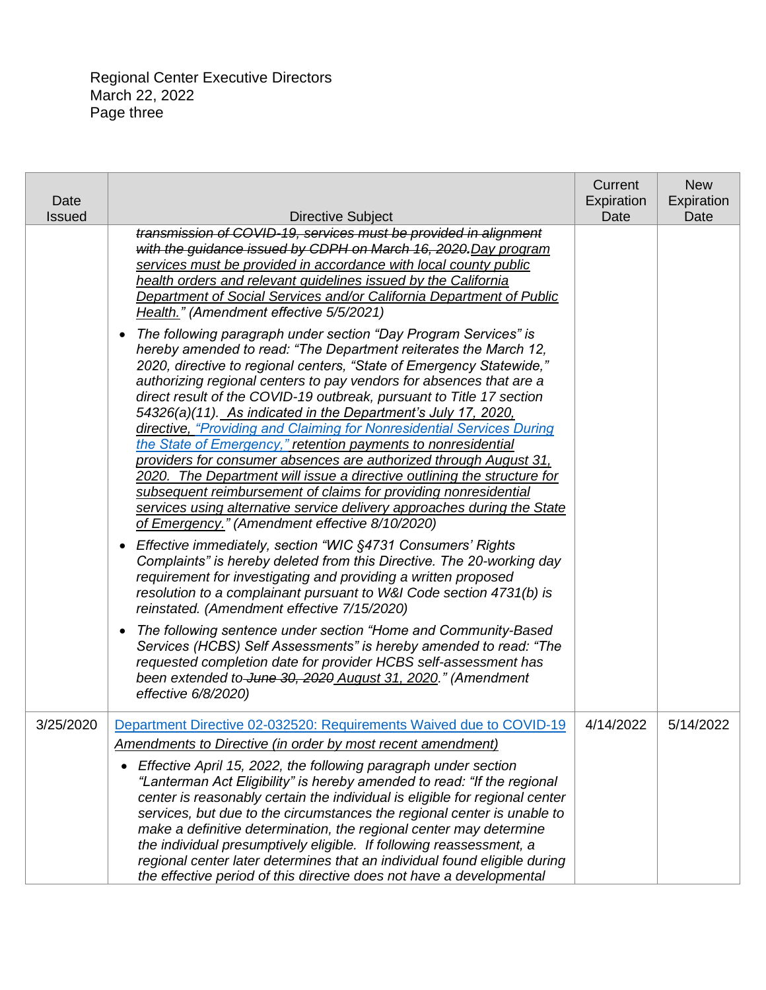Regional Center Executive Directors March 22, 2022 Page three

| Date<br><b>Issued</b> | <b>Directive Subject</b>                                                                                                                                                                                                                                                                                                                                                                                                                                                                                                                                                                                                                                                                                                                                                                                                                           | Current<br>Expiration<br>Date | <b>New</b><br>Expiration<br>Date |
|-----------------------|----------------------------------------------------------------------------------------------------------------------------------------------------------------------------------------------------------------------------------------------------------------------------------------------------------------------------------------------------------------------------------------------------------------------------------------------------------------------------------------------------------------------------------------------------------------------------------------------------------------------------------------------------------------------------------------------------------------------------------------------------------------------------------------------------------------------------------------------------|-------------------------------|----------------------------------|
|                       | transmission of COVID-19, services must be provided in alignment<br>with the guidance issued by CDPH on March 16, 2020. Day program<br>services must be provided in accordance with local county public<br>health orders and relevant guidelines issued by the California<br>Department of Social Services and/or California Department of Public<br>Health." (Amendment effective 5/5/2021)<br>The following paragraph under section "Day Program Services" is<br>$\bullet$                                                                                                                                                                                                                                                                                                                                                                       |                               |                                  |
|                       | hereby amended to read: "The Department reiterates the March 12,<br>2020, directive to regional centers, "State of Emergency Statewide,"<br>authorizing regional centers to pay vendors for absences that are a<br>direct result of the COVID-19 outbreak, pursuant to Title 17 section<br>54326(a)(11). As indicated in the Department's July 17, 2020,<br>directive, "Providing and Claiming for Nonresidential Services During<br>the State of Emergency," retention payments to nonresidential<br>providers for consumer absences are authorized through August 31,<br>2020. The Department will issue a directive outlining the structure for<br>subsequent reimbursement of claims for providing nonresidential<br>services using alternative service delivery approaches during the State<br>of Emergency." (Amendment effective 8/10/2020) |                               |                                  |
|                       | Effective immediately, section "WIC §4731 Consumers' Rights<br>$\bullet$<br>Complaints" is hereby deleted from this Directive. The 20-working day<br>requirement for investigating and providing a written proposed<br>resolution to a complainant pursuant to W&I Code section 4731(b) is<br>reinstated. (Amendment effective 7/15/2020)                                                                                                                                                                                                                                                                                                                                                                                                                                                                                                          |                               |                                  |
|                       | The following sentence under section "Home and Community-Based<br>$\bullet$<br>Services (HCBS) Self Assessments" is hereby amended to read: "The<br>requested completion date for provider HCBS self-assessment has<br>been extended to June 30, 2020 August 31, 2020." (Amendment<br>effective 6/8/2020)                                                                                                                                                                                                                                                                                                                                                                                                                                                                                                                                          |                               |                                  |
| 3/25/2020             | Department Directive 02-032520: Requirements Waived due to COVID-19<br><b>Amendments to Directive (in order by most recent amendment)</b>                                                                                                                                                                                                                                                                                                                                                                                                                                                                                                                                                                                                                                                                                                          | 4/14/2022                     | 5/14/2022                        |
|                       | Effective April 15, 2022, the following paragraph under section<br>"Lanterman Act Eligibility" is hereby amended to read: "If the regional<br>center is reasonably certain the individual is eligible for regional center<br>services, but due to the circumstances the regional center is unable to<br>make a definitive determination, the regional center may determine<br>the individual presumptively eligible. If following reassessment, a<br>regional center later determines that an individual found eligible during<br>the effective period of this directive does not have a developmental                                                                                                                                                                                                                                             |                               |                                  |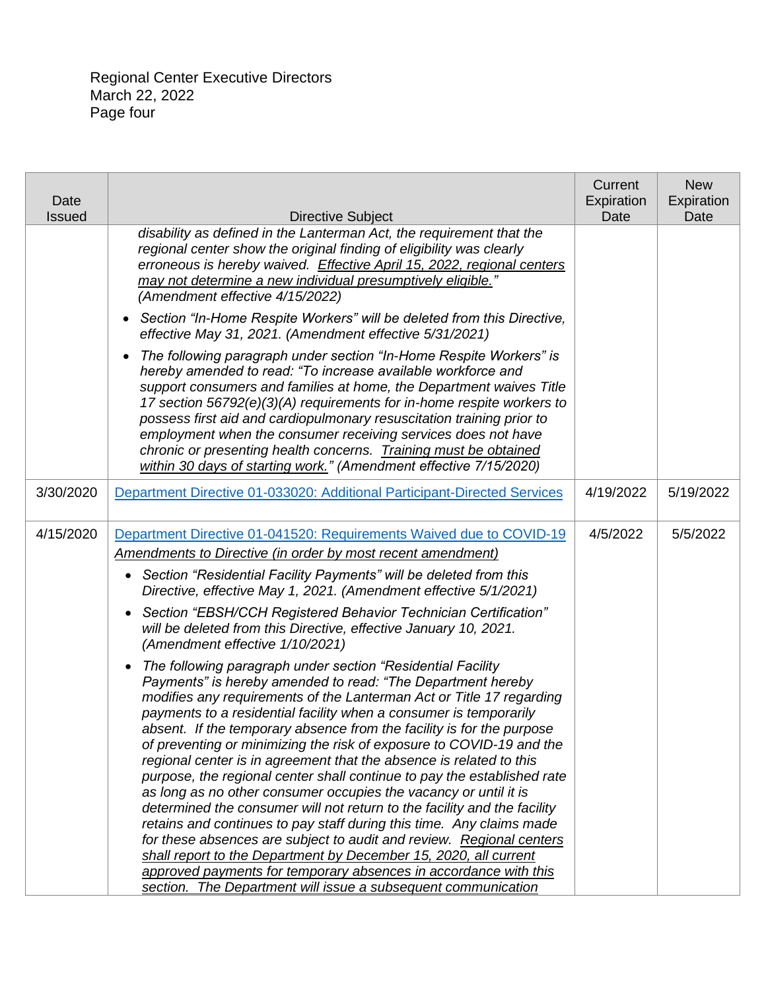Regional Center Executive Directors March 22, 2022 Page four

| Date<br><b>Issued</b> | Directive Subject                                                                                                                                                                                                                                                                                                                                                                                                                                                                                                                                                                                                                                                                                                                                                                                                                                                                                                                                                                                                                                                                                                                                                                                                                                                                                                                                                                                                                                                                                                                                                               | Current<br>Expiration<br>Date | <b>New</b><br>Expiration<br>Date |
|-----------------------|---------------------------------------------------------------------------------------------------------------------------------------------------------------------------------------------------------------------------------------------------------------------------------------------------------------------------------------------------------------------------------------------------------------------------------------------------------------------------------------------------------------------------------------------------------------------------------------------------------------------------------------------------------------------------------------------------------------------------------------------------------------------------------------------------------------------------------------------------------------------------------------------------------------------------------------------------------------------------------------------------------------------------------------------------------------------------------------------------------------------------------------------------------------------------------------------------------------------------------------------------------------------------------------------------------------------------------------------------------------------------------------------------------------------------------------------------------------------------------------------------------------------------------------------------------------------------------|-------------------------------|----------------------------------|
|                       | disability as defined in the Lanterman Act, the requirement that the<br>regional center show the original finding of eligibility was clearly<br>erroneous is hereby waived. Effective April 15, 2022, regional centers<br>may not determine a new individual presumptively eligible."<br>(Amendment effective 4/15/2022)                                                                                                                                                                                                                                                                                                                                                                                                                                                                                                                                                                                                                                                                                                                                                                                                                                                                                                                                                                                                                                                                                                                                                                                                                                                        |                               |                                  |
|                       | Section "In-Home Respite Workers" will be deleted from this Directive,<br>$\bullet$<br>effective May 31, 2021. (Amendment effective 5/31/2021)                                                                                                                                                                                                                                                                                                                                                                                                                                                                                                                                                                                                                                                                                                                                                                                                                                                                                                                                                                                                                                                                                                                                                                                                                                                                                                                                                                                                                                  |                               |                                  |
|                       | The following paragraph under section "In-Home Respite Workers" is<br>$\bullet$<br>hereby amended to read: "To increase available workforce and<br>support consumers and families at home, the Department waives Title<br>17 section 56792(e)(3)(A) requirements for in-home respite workers to<br>possess first aid and cardiopulmonary resuscitation training prior to<br>employment when the consumer receiving services does not have<br>chronic or presenting health concerns. Training must be obtained<br>within 30 days of starting work." (Amendment effective 7/15/2020)                                                                                                                                                                                                                                                                                                                                                                                                                                                                                                                                                                                                                                                                                                                                                                                                                                                                                                                                                                                              |                               |                                  |
| 3/30/2020             | Department Directive 01-033020: Additional Participant-Directed Services                                                                                                                                                                                                                                                                                                                                                                                                                                                                                                                                                                                                                                                                                                                                                                                                                                                                                                                                                                                                                                                                                                                                                                                                                                                                                                                                                                                                                                                                                                        | 4/19/2022                     | 5/19/2022                        |
| 4/15/2020             | Department Directive 01-041520: Requirements Waived due to COVID-19<br><b>Amendments to Directive (in order by most recent amendment)</b><br>• Section "Residential Facility Payments" will be deleted from this<br>Directive, effective May 1, 2021. (Amendment effective 5/1/2021)<br>Section "EBSH/CCH Registered Behavior Technician Certification"<br>$\bullet$<br>will be deleted from this Directive, effective January 10, 2021.<br>(Amendment effective 1/10/2021)<br>The following paragraph under section "Residential Facility<br>$\bullet$<br>Payments" is hereby amended to read: "The Department hereby<br>modifies any requirements of the Lanterman Act or Title 17 regarding<br>payments to a residential facility when a consumer is temporarily<br>absent. If the temporary absence from the facility is for the purpose<br>of preventing or minimizing the risk of exposure to COVID-19 and the<br>regional center is in agreement that the absence is related to this<br>purpose, the regional center shall continue to pay the established rate<br>as long as no other consumer occupies the vacancy or until it is<br>determined the consumer will not return to the facility and the facility<br>retains and continues to pay staff during this time. Any claims made<br>for these absences are subject to audit and review. Regional centers<br>shall report to the Department by December 15, 2020, all current<br>approved payments for temporary absences in accordance with this<br>section. The Department will issue a subsequent communication | 4/5/2022                      | 5/5/2022                         |